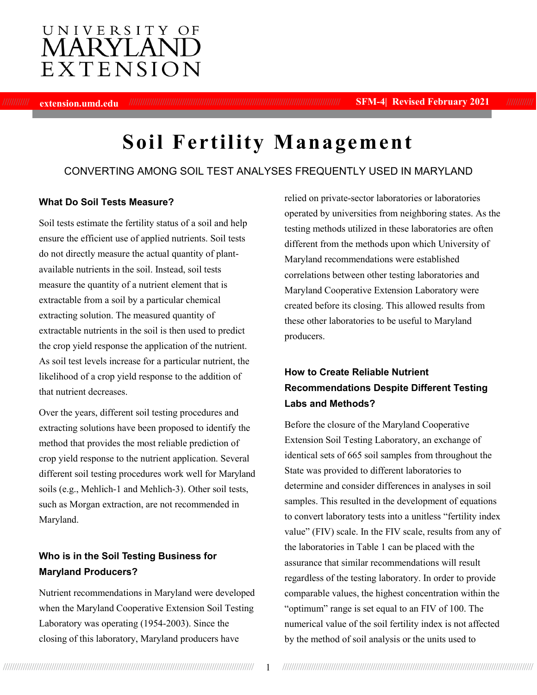## UNIVERSITY OF MARYLANI EXTENSION

//////////// **extension.umd.edu** //////////////////////////////////////////////////////////////////////////////////////////////// **SFM-4| Revised February 2021** ////////////

# **Soil Fertility Management**

### CONVERTING AMONG SOIL TEST ANALYSES FREQUENTLY USED IN MARYLAND

#### **What Do Soil Tests Measure?**

Soil tests estimate the fertility status of a soil and help ensure the efficient use of applied nutrients. Soil tests do not directly measure the actual quantity of plantavailable nutrients in the soil. Instead, soil tests measure the quantity of a nutrient element that is extractable from a soil by a particular chemical extracting solution. The measured quantity of extractable nutrients in the soil is then used to predict the crop yield response the application of the nutrient. As soil test levels increase for a particular nutrient, the likelihood of a crop yield response to the addition of that nutrient decreases.

Over the years, different soil testing procedures and extracting solutions have been proposed to identify the method that provides the most reliable prediction of crop yield response to the nutrient application. Several different soil testing procedures work well for Maryland soils (e.g., Mehlich-1 and Mehlich-3). Other soil tests, such as Morgan extraction, are not recommended in Maryland.

## **Who is in the Soil Testing Business for Maryland Producers?**

Nutrient recommendations in Maryland were developed when the Maryland Cooperative Extension Soil Testing Laboratory was operating (1954-2003). Since the closing of this laboratory, Maryland producers have

relied on private-sector laboratories or laboratories operated by universities from neighboring states. As the testing methods utilized in these laboratories are often different from the methods upon which University of Maryland recommendations were established correlations between other testing laboratories and Maryland Cooperative Extension Laboratory were created before its closing. This allowed results from these other laboratories to be useful to Maryland producers.

## **How to Create Reliable Nutrient Recommendations Despite Different Testing Labs and Methods?**

Before the closure of the Maryland Cooperative Extension Soil Testing Laboratory, an exchange of identical sets of 665 soil samples from throughout the State was provided to different laboratories to determine and consider differences in analyses in soil samples. This resulted in the development of equations to convert laboratory tests into a unitless "fertility index value" (FIV) scale. In the FIV scale, results from any of the laboratories in Table 1 can be placed with the assurance that similar recommendations will result regardless of the testing laboratory. In order to provide comparable values, the highest concentration within the "optimum" range is set equal to an FIV of 100. The numerical value of the soil fertility index is not affected by the method of soil analysis or the units used to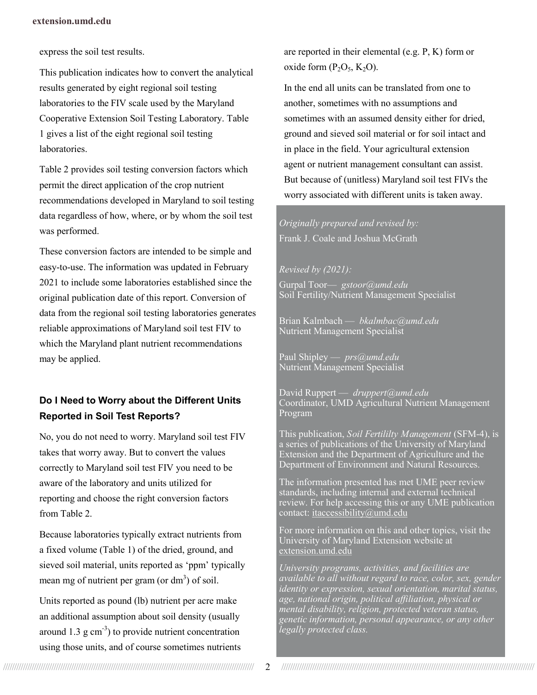#### **extension.umd.edu**

express the soil test results.

This publication indicates how to convert the analytical results generated by eight regional soil testing laboratories to the FIV scale used by the Maryland Cooperative Extension Soil Testing Laboratory. Table 1 gives a list of the eight regional soil testing laboratories.

Table 2 provides soil testing conversion factors which permit the direct application of the crop nutrient recommendations developed in Maryland to soil testing data regardless of how, where, or by whom the soil test was performed.

These conversion factors are intended to be simple and easy-to-use. The information was updated in February 2021 to include some laboratories established since the original publication date of this report. Conversion of data from the regional soil testing laboratories generates reliable approximations of Maryland soil test FIV to which the Maryland plant nutrient recommendations may be applied.

## **Do I Need to Worry about the Different Units Reported in Soil Test Reports?**

No, you do not need to worry. Maryland soil test FIV takes that worry away. But to convert the values correctly to Maryland soil test FIV you need to be aware of the laboratory and units utilized for reporting and choose the right conversion factors from Table 2.

Because laboratories typically extract nutrients from a fixed volume (Table 1) of the dried, ground, and sieved soil material, units reported as 'ppm' typically mean mg of nutrient per gram (or  $dm<sup>3</sup>$ ) of soil.

Units reported as pound (lb) nutrient per acre make an additional assumption about soil density (usually around 1.3  $g \text{ cm}^{-3}$ ) to provide nutrient concentration using those units, and of course sometimes nutrients are reported in their elemental (e.g. P, K) form or oxide form  $(P_2O_5, K_2O)$ .

In the end all units can be translated from one to another, sometimes with no assumptions and sometimes with an assumed density either for dried, ground and sieved soil material or for soil intact and in place in the field. Your agricultural extension agent or nutrient management consultant can assist. But because of (unitless) Maryland soil test FIVs the worry associated with different units is taken away.

## *Originally prepared and revised by:* Frank J. Coale and Joshua McGrath

#### *Revised by (2021):*

Gurpal Toor— *gstoor@umd.edu* Soil Fertility/Nutrient Management Specialist

Brian Kalmbach — *bkalmbac@umd.edu* Nutrient Management Specialist

Paul Shipley — *prs@umd.edu* Nutrient Management Specialist

David Ruppert — *druppert@umd.edu* Coordinator, UMD Agricultural Nutrient Management Program

This publication, *Soil Fertililty Management* (SFM-4), is a series of publications of the University of Maryland Extension and the Department of Agriculture and the Department of Environment and Natural Resources.

The information presented has met UME peer review standards, including internal and external technical review. For help accessing this or any UME publication contact: [itaccessibility@umd.edu](mailto:itaccessibility@umd.edu)

For more information on this and other topics, visit the University of Maryland Extension website at extension.umd.edu

*University programs, activities, and facilities are available to all without regard to race, color, sex, gender identity or expression, sexual orientation, marital status, age, national origin, political affiliation, physical or mental disability, religion, protected veteran status, genetic information, personal appearance, or any other legally protected class.*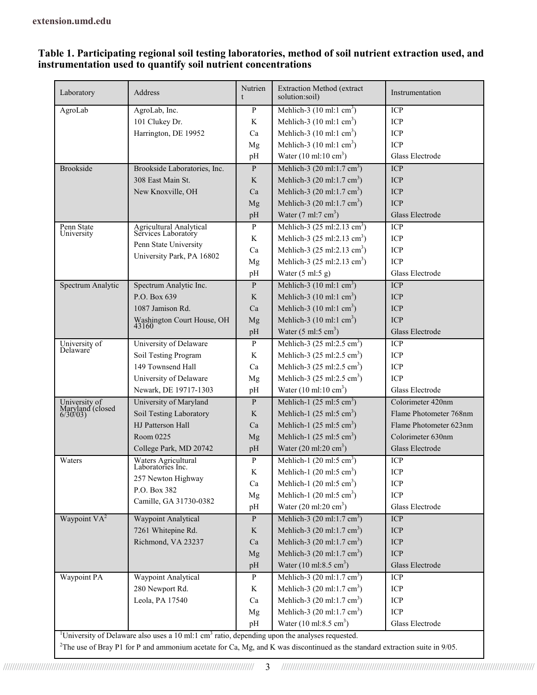#### **Table 1. Participating regional soil testing laboratories, method of soil nutrient extraction used, and instrumentation used to quantify soil nutrient concentrations**

| Laboratory                   | Address                                                                                                                             | Nutrien<br>t | <b>Extraction Method (extract</b><br>solution:soil) | Instrumentation           |  |  |  |
|------------------------------|-------------------------------------------------------------------------------------------------------------------------------------|--------------|-----------------------------------------------------|---------------------------|--|--|--|
| AgroLab                      | AgroLab, Inc.                                                                                                                       | P            | Mehlich-3 $(10 \text{ ml: } 1 \text{ cm}^3)$        | ICP                       |  |  |  |
|                              | 101 Clukey Dr.                                                                                                                      | K            | Mehlich-3 $(10 \text{ ml}: 1 \text{ cm}^3)$         | <b>ICP</b>                |  |  |  |
|                              | Harrington, DE 19952                                                                                                                | Ca           | Mehlich-3 $(10 \text{ ml}: 1 \text{ cm}^3)$         | <b>ICP</b>                |  |  |  |
|                              |                                                                                                                                     | Mg           | Mehlich-3 $(10 \text{ ml}: 1 \text{ cm}^3)$         | <b>ICP</b>                |  |  |  |
|                              |                                                                                                                                     | pH           | Water $(10 \text{ ml}: 10 \text{ cm}^3)$            | Glass Electrode           |  |  |  |
| <b>Brookside</b>             | Brookside Laboratories, Inc.                                                                                                        | $\mathbf{P}$ | Mehlich-3 $(20 \text{ ml}: 1.7 \text{ cm}^3)$       | <b>ICP</b>                |  |  |  |
|                              | 308 East Main St.                                                                                                                   | K            | Mehlich-3 $(20 \text{ ml}: 1.7 \text{ cm}^3)$       | <b>ICP</b>                |  |  |  |
|                              | New Knoxville, OH                                                                                                                   | Ca           | Mehlich-3 (20 ml:1.7 cm <sup>3</sup> )              | <b>ICP</b>                |  |  |  |
|                              |                                                                                                                                     | Mg           | Mehlich-3 $(20 \text{ ml}: 1.7 \text{ cm}^3)$       | <b>ICP</b>                |  |  |  |
|                              |                                                                                                                                     | pH           | Water $(7 \text{ ml}:7 \text{ cm}^3)$               | Glass Electrode           |  |  |  |
| Penn State                   | Agricultural Analytical<br>Services Laboratory                                                                                      | $\, {\bf p}$ | Mehlich-3 (25 ml:2.13 cm <sup>3</sup> )             | ICP                       |  |  |  |
| University                   |                                                                                                                                     | K            | Mehlich-3 $(25 \text{ ml}:2.13 \text{ cm}^3)$       | <b>ICP</b>                |  |  |  |
|                              | Penn State University                                                                                                               | Ca           | Mehlich-3 $(25 \text{ ml}:2.13 \text{ cm}^3)$       | <b>ICP</b>                |  |  |  |
|                              | University Park, PA 16802                                                                                                           | Mg           | Mehlich-3 $(25 \text{ ml}:2.13 \text{ cm}^3)$       | <b>ICP</b>                |  |  |  |
|                              |                                                                                                                                     | pH           | Water $(5 \text{ ml:} 5 \text{ g})$                 | Glass Electrode           |  |  |  |
| Spectrum Analytic            | Spectrum Analytic Inc.                                                                                                              | P            | Mehlich-3 $(10 \text{ ml}: 1 \text{ cm}^3)$         | <b>ICP</b>                |  |  |  |
|                              | P.O. Box 639                                                                                                                        | K            | Mehlich-3 $(10 \text{ ml}: 1 \text{ cm}^3)$         | <b>ICP</b>                |  |  |  |
|                              | 1087 Jamison Rd.                                                                                                                    | Ca           | Mehlich-3 $(10 \text{ ml}: 1 \text{ cm}^3)$         | <b>ICP</b>                |  |  |  |
|                              | Washington Court House, OH<br>43160                                                                                                 | Mg           | Mehlich-3 $(10 \text{ ml}: 1 \text{ cm}^3)$         | <b>ICP</b>                |  |  |  |
|                              |                                                                                                                                     | pH           | Water $(5 \text{ ml:} 5 \text{ cm}^3)$              | <b>Glass Electrode</b>    |  |  |  |
| University of<br>Delaware    | University of Delaware                                                                                                              | ${\bf P}$    | Mehlich-3 $(25 \text{ ml}:2.5 \text{ cm}^3)$        | ICP                       |  |  |  |
|                              | Soil Testing Program                                                                                                                | K            | Mehlich-3 $(25 \text{ ml}:2.5 \text{ cm}^3)$        | <b>ICP</b>                |  |  |  |
|                              | 149 Townsend Hall                                                                                                                   | Ca           | Mehlich-3 $(25 \text{ ml}:2.5 \text{ cm}^3)$        | <b>ICP</b>                |  |  |  |
|                              | University of Delaware                                                                                                              | Mg           | Mehlich-3 $(25 \text{ ml}:2.5 \text{ cm}^3)$        | <b>ICP</b>                |  |  |  |
|                              | Newark, DE 19717-1303                                                                                                               | pH           | Water $(10 \text{ ml}: 10 \text{ cm}^3)$            | Glass Electrode           |  |  |  |
| University of                | University of Maryland                                                                                                              | P            | Mehlich-1 $(25 \text{ ml} : 5 \text{ cm}^3)$        | Colorimeter 420nm         |  |  |  |
| Maryland (closed<br>6/30/03) | Soil Testing Laboratory                                                                                                             | K            | Mehlich-1 $(25 \text{ ml} : 5 \text{ cm}^3)$        | Flame Photometer 768nm    |  |  |  |
|                              | HJ Patterson Hall                                                                                                                   | Ca           | Mehlich-1 $(25 \text{ ml} : 5 \text{ cm}^3)$        | Flame Photometer 623nm    |  |  |  |
|                              | Room 0225                                                                                                                           | Mg           | Mehlich-1 $(25 \text{ ml} : 5 \text{ cm}^3)$        | Colorimeter 630nm         |  |  |  |
|                              | College Park, MD 20742                                                                                                              | pH           | Water $(20 \text{ ml}:20 \text{ cm}^3)$             | Glass Electrode           |  |  |  |
| Waters                       | Waters Agricultural<br>Laboratories Inc.                                                                                            | $\mathbf{P}$ | Mehlich-1 $(20 \text{ ml} : 5 \text{ cm}^3)$        | <b>ICP</b>                |  |  |  |
|                              |                                                                                                                                     | K            | Mehlich-1 $(20 \text{ ml}:5 \text{ cm}^3)$          | ICP                       |  |  |  |
|                              | 257 Newton Highway                                                                                                                  | Ca           | Mehlich-1 $(20 \text{ ml:}5 \text{ cm}^3)$          | ICP                       |  |  |  |
|                              | P.O. Box 382                                                                                                                        | Mg           | Mehlich-1 $(20 \text{ ml} : 5 \text{ cm}^3)$        | ICP                       |  |  |  |
|                              | Camille, GA 31730-0382                                                                                                              | pH           | Water $(20 \text{ ml}:20 \text{ cm}^3)$             | Glass Electrode           |  |  |  |
| Waypoint VA <sup>2</sup>     | Waypoint Analytical                                                                                                                 | $\mathbf{P}$ | Mehlich-3 $(20 \text{ ml}: 1.7 \text{ cm}^3)$       | ICP                       |  |  |  |
|                              | 7261 Whitepine Rd.                                                                                                                  | $\bf K$      | Mehlich-3 (20 ml:1.7 cm <sup>3</sup> )              | ICP                       |  |  |  |
|                              | Richmond, VA 23237                                                                                                                  | Ca           | Mehlich-3 $(20 \text{ ml}: 1.7 \text{ cm}^3)$       | $\ensuremath{\text{ICP}}$ |  |  |  |
|                              |                                                                                                                                     | Mg           | Mehlich-3 $(20 \text{ ml}: 1.7 \text{ cm}^3)$       | ICP                       |  |  |  |
|                              |                                                                                                                                     | pH           | Water $(10 \text{ ml}: 8.5 \text{ cm}^3)$           | Glass Electrode           |  |  |  |
| Waypoint PA                  | Waypoint Analytical                                                                                                                 | $\mathbf{P}$ | Mehlich-3 $(20 \text{ ml}:1.7 \text{ cm}^3)$        | ICP                       |  |  |  |
|                              | 280 Newport Rd.                                                                                                                     | K            | Mehlich-3 $(20 \text{ ml}: 1.7 \text{ cm}^3)$       | ICP                       |  |  |  |
|                              | Leola, PA 17540                                                                                                                     | Ca           | Mehlich-3 $(20 \text{ ml}:1.7 \text{ cm}^3)$        | ICP                       |  |  |  |
|                              |                                                                                                                                     | Mg           | Mehlich-3 $(20 \text{ ml}:1.7 \text{ cm}^3)$        | ICP                       |  |  |  |
|                              |                                                                                                                                     | pH           | Water $(10 \text{ ml}: 8.5 \text{ cm}^3)$           | Glass Electrode           |  |  |  |
|                              | <sup>1</sup> University of Delaware also uses a 10 ml:1 cm <sup>3</sup> ratio, depending upon the analyses requested.               |              |                                                     |                           |  |  |  |
|                              | ${}^{2}$ The use of Bray P1 for P and ammonium acetate for Ca, Mg, and K was discontinued as the standard extraction suite in 9/05. |              |                                                     |                           |  |  |  |
|                              |                                                                                                                                     |              |                                                     |                           |  |  |  |

////////////////////////////////////////////////////////////////////////////////////////////////////////////////// 3 ///////////////////////////////////////////////////////////////////////////////////////////////////////////////////